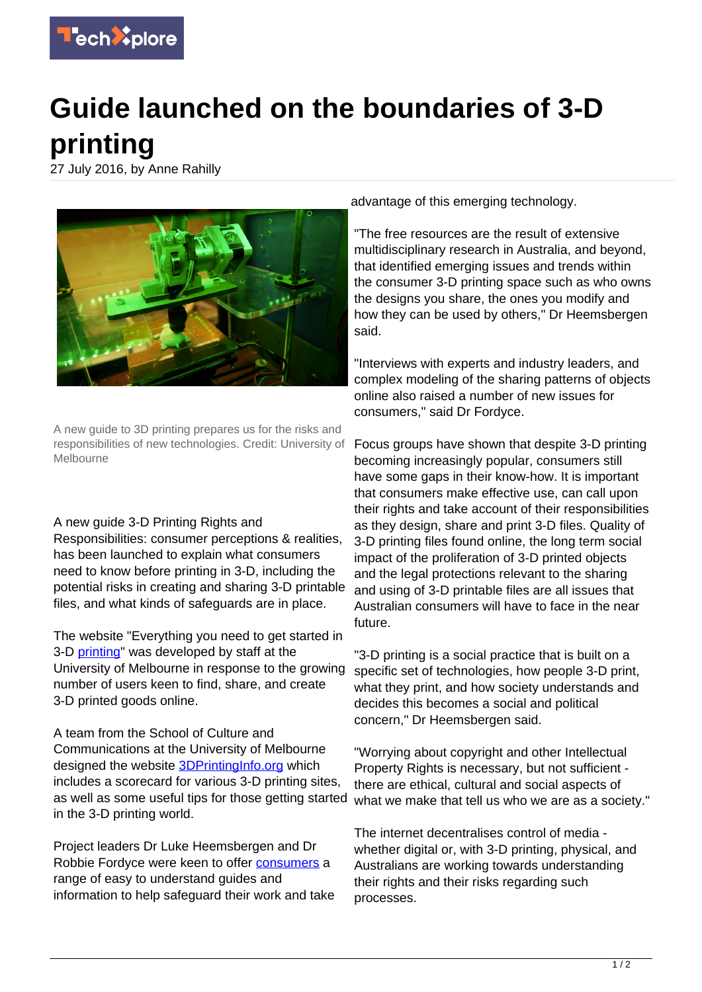

## **Guide launched on the boundaries of 3-D printing**

27 July 2016, by Anne Rahilly



A new guide to 3D printing prepares us for the risks and responsibilities of new technologies. Credit: University of Melbourne

## A new guide 3-D Printing Rights and

Responsibilities: consumer perceptions & realities, has been launched to explain what consumers need to know before printing in 3-D, including the potential risks in creating and sharing 3-D printable files, and what kinds of safeguards are in place.

The website "Everything you need to get started in 3-D [printing](https://techxplore.com/tags/printing/)" was developed by staff at the University of Melbourne in response to the growing number of users keen to find, share, and create 3-D printed goods online.

A team from the School of Culture and Communications at the University of Melbourne designed the website [3DPrintingInfo.org](http://newsroom.melbourne.edu/news/3DPrintingInfo.org) which includes a scorecard for various 3-D printing sites, as well as some useful tips for those getting started in the 3-D printing world.

Project leaders Dr Luke Heemsbergen and Dr Robbie Fordyce were keen to offer [consumers](https://techxplore.com/tags/consumers/) a range of easy to understand guides and information to help safeguard their work and take advantage of this emerging technology.

"The free resources are the result of extensive multidisciplinary research in Australia, and beyond, that identified emerging issues and trends within the consumer 3-D printing space such as who owns the designs you share, the ones you modify and how they can be used by others," Dr Heemsbergen said.

"Interviews with experts and industry leaders, and complex modeling of the sharing patterns of objects online also raised a number of new issues for consumers," said Dr Fordyce.

Focus groups have shown that despite 3-D printing becoming increasingly popular, consumers still have some gaps in their know-how. It is important that consumers make effective use, can call upon their rights and take account of their responsibilities as they design, share and print 3-D files. Quality of 3-D printing files found online, the long term social impact of the proliferation of 3-D printed objects and the legal protections relevant to the sharing and using of 3-D printable files are all issues that Australian consumers will have to face in the near future.

"3-D printing is a social practice that is built on a specific set of technologies, how people 3-D print, what they print, and how society understands and decides this becomes a social and political concern," Dr Heemsbergen said.

"Worrying about copyright and other Intellectual Property Rights is necessary, but not sufficient there are ethical, cultural and social aspects of what we make that tell us who we are as a society."

The internet decentralises control of media whether digital or, with 3-D printing, physical, and Australians are working towards understanding their rights and their risks regarding such processes.